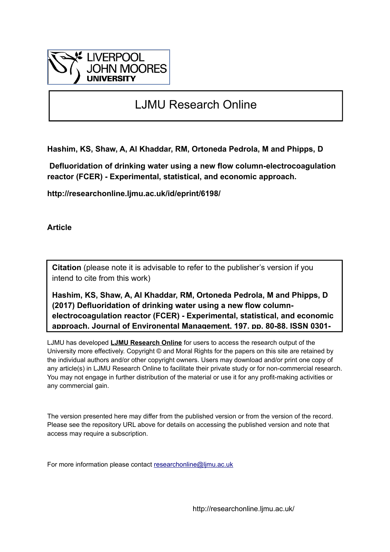

# LJMU Research Online

**Hashim, KS, Shaw, A, Al Khaddar, RM, Ortoneda Pedrola, M and Phipps, D**

 **Defluoridation of drinking water using a new flow column-electrocoagulation reactor (FCER) - Experimental, statistical, and economic approach.**

**http://researchonline.ljmu.ac.uk/id/eprint/6198/**

**Article**

**Citation** (please note it is advisable to refer to the publisher's version if you intend to cite from this work)

**Hashim, KS, Shaw, A, Al Khaddar, RM, Ortoneda Pedrola, M and Phipps, D (2017) Defluoridation of drinking water using a new flow columnelectrocoagulation reactor (FCER) - Experimental, statistical, and economic approach. Journal of Environental Management, 197. pp. 80-88. ISSN 0301-**

LJMU has developed **[LJMU Research Online](http://researchonline.ljmu.ac.uk/)** for users to access the research output of the University more effectively. Copyright © and Moral Rights for the papers on this site are retained by the individual authors and/or other copyright owners. Users may download and/or print one copy of any article(s) in LJMU Research Online to facilitate their private study or for non-commercial research. You may not engage in further distribution of the material or use it for any profit-making activities or any commercial gain.

The version presented here may differ from the published version or from the version of the record. Please see the repository URL above for details on accessing the published version and note that access may require a subscription.

For more information please contact [researchonline@ljmu.ac.uk](mailto:researchonline@ljmu.ac.uk)

http://researchonline.ljmu.ac.uk/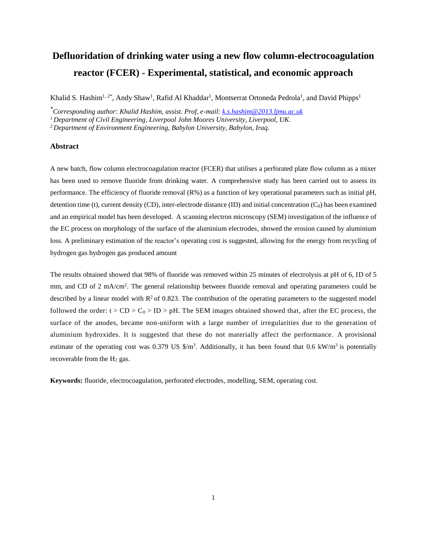## **Defluoridation of drinking water using a new flow column-electrocoagulation reactor (FCER) - Experimental, statistical, and economic approach**

Khalid S. Hashim<sup>1, 2\*</sup>, Andy Shaw<sup>1</sup>, Rafid Al Khaddar<sup>1</sup>, Montserrat Ortoneda Pedrola<sup>1</sup>, and David Phipps<sup>1</sup>

*\*Corresponding author: Khalid Hashim, assist. Prof, e-mail: [k.s.hashim@2013.ljmu.ac.uk](mailto:k.s.hashim@2013.ljmu.ac.uk)*

*<sup>1</sup> Department of Civil Engineering, Liverpool John Moores University, Liverpool, UK.* 

*<sup>2</sup> Department of Environment Engineering, Babylon University, Babylon, Iraq.*

## **Abstract**

A new batch, flow column electrocoagulation reactor (FCER) that utilises a perforated plate flow column as a mixer has been used to remove fluoride from drinking water. A comprehensive study has been carried out to assess its performance. The efficiency of fluoride removal  $(R%)$  as a function of key operational parameters such as initial pH, detention time (t), current density (CD), inter-electrode distance (ID) and initial concentration  $(C_0)$  has been examined and an empirical model has been developed. A scanning electron microscopy (SEM) investigation of the influence of the EC process on morphology of the surface of the aluminium electrodes, showed the erosion caused by aluminium loss. A preliminary estimation of the reactor's operating cost is suggested, allowing for the energy from recycling of hydrogen gas hydrogen gas produced amount

The results obtained showed that 98% of fluoride was removed within 25 minutes of electrolysis at pH of 6, ID of 5 mm, and CD of 2 mA/cm<sup>2</sup>. The general relationship between fluoride removal and operating parameters could be described by a linear model with  $R^2$  of 0.823. The contribution of the operating parameters to the suggested model followed the order:  $t > CD > C_0 > ID > pH$ . The SEM images obtained showed that, after the EC process, the surface of the anodes, became non-uniform with a large number of irregularities due to the generation of aluminium hydroxides. It is suggested that these do not materially affect the performance. A provisional estimate of the operating cost was 0.379 US  $\frac{m^3}{2}$ . Additionally, it has been found that 0.6 kW/m<sup>3</sup> is potentially recoverable from the  $H_2$  gas.

**Keywords:** fluoride, electrocoagulation, perforated electrodes, modelling, SEM, operating cost.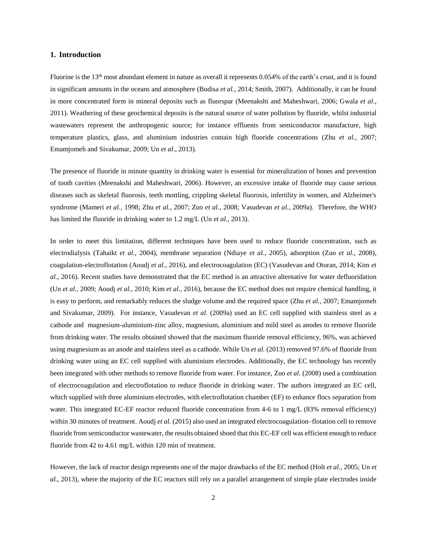## **1. Introduction**

Fluorine is the 13<sup>th</sup> most abundant element in nature as overall it represents 0.054% of the earth's crust, and it is found in significant amounts in the oceans and atmosphere (Budisa *et al.*, 2014; Smith, 2007). Additionally, it can be found in more concentrated form in mineral deposits such as fluorspar (Meenakshi and Maheshwari, 2006; Gwala *et al.*, 2011). Weathering of these geochemical deposits is the natural source of water pollution by fluoride, whilst industrial wastewaters represent the anthropogenic source; for instance effluents from semiconductor manufacture, high temperature plastics, glass, and aluminium industries contain high fluoride concentrations (Zhu *et al.*, 2007; Emamjomeh and Sivakumar, 2009; Un *et al.*, 2013).

The presence of fluoride in minute quantity in drinking water is essential for mineralization of bones and prevention of tooth cavities (Meenakshi and Maheshwari, 2006). However, an excessive intake of fluoride may cause serious diseases such as skeletal fluorosis, teeth mottling, crippling skeletal fluorosis, infertility in women, and Alzheimer's syndrome (Mameri *et al.*, 1998; Zhu *et al.*, 2007; Zuo *et al.*, 2008; Vasudevan *et al.*, 2009a). Therefore, the WHO has limited the fluoride in drinking water to 1.2 mg/L (Un *et al.*, 2013).

In order to meet this limitation, different techniques have been used to reduce fluoride concentration, such as electrodialysis (Tahaikt *et al.*, 2004), membrane separation (Ndiaye *et al.*, 2005), adsorption (Zuo *et al.*, 2008), coagulation-electroflotation (Aoudj *et al.*, 2016), and electrocoagulation (EC) (Vasudevan and Oturan, 2014; Kim *et al.*, 2016). Recent studies have demonstrated that the EC method is an attractive alternative for water defluoridation (Un *et al.*, 2009; Aoudj *et al.*, 2010; Kim *et al.*, 2016), because the EC method does not require chemical handling, it is easy to perform, and remarkably reduces the sludge volume and the required space (Zhu *et al.*, 2007; Emamjomeh and Sivakumar, 2009). For instance, Vasudevan *et al.* (2009a) used an EC cell supplied with stainless steel as a cathode and magnesium-aluminium-zinc alloy, magnesium, aluminium and mild steel as anodes to remove fluoride from drinking water. The results obtained showed that the maximum fluoride removal efficiency, 96%, was achieved using magnesium as an anode and stainless steel as a cathode. While Un *et al.* (2013) removed 97.6% of fluoride from drinking water using an EC cell supplied with aluminium electrodes. Additionally, the EC technology has recently been integrated with other methods to remove fluoride from water. For instance, Zuo *et al.* (2008) used a combination of electrocoagulation and electroflotation to reduce fluoride in drinking water. The authors integrated an EC cell, which supplied with three aluminium electrodes, with electroflotation chamber (EF) to enhance flocs separation from water. This integrated EC-EF reactor reduced fluoride concentration from 4-6 to 1 mg/L (83% removal efficiency) within 30 minutes of treatment. Aoudj *et al.* (2015) also used an integrated electrocoagulation–flotation cell to remove fluoride from semiconductor wastewater, the results obtained shoed that this EC-EF cell was efficient enough to reduce fluoride from 42 to 4.61 mg/L within 120 min of treatment.

However, the lack of reactor design represents one of the major drawbacks of the EC method (Holt *et al.*, 2005; Un *et al.*, 2013), where the majority of the EC reactors still rely on a parallel arrangement of simple plate electrodes inside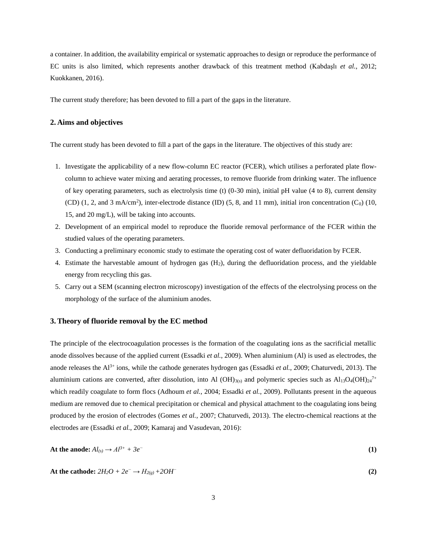a container. In addition, the availability empirical or systematic approaches to design or reproduce the performance of EC units is also limited, which represents another drawback of this treatment method (Kabdaşlı *et al.*, 2012; Kuokkanen, 2016).

The current study therefore; has been devoted to fill a part of the gaps in the literature.

## **2. Aims and objectives**

The current study has been devoted to fill a part of the gaps in the literature. The objectives of this study are:

- 1. Investigate the applicability of a new flow-column EC reactor (FCER), which utilises a perforated plate flowcolumn to achieve water mixing and aerating processes, to remove fluoride from drinking water. The influence of key operating parameters, such as electrolysis time (t)  $(0-30 \text{ min})$ , initial pH value (4 to 8), current density  $(CD)$  (1, 2, and 3 mA/cm<sup>2</sup>), inter-electrode distance (ID) (5, 8, and 11 mm), initial iron concentration (C<sub>0</sub>) (10, 15, and 20 mg/L), will be taking into accounts.
- 2. Development of an empirical model to reproduce the fluoride removal performance of the FCER within the studied values of the operating parameters.
- 3. Conducting a preliminary economic study to estimate the operating cost of water defluoridation by FCER.
- 4. Estimate the harvestable amount of hydrogen gas (H2), during the defluoridation process, and the yieldable energy from recycling this gas.
- 5. Carry out a SEM (scanning electron microscopy) investigation of the effects of the electrolysing process on the morphology of the surface of the aluminium anodes.

## **3.Theory of fluoride removal by the EC method**

The principle of the electrocoagulation processes is the formation of the coagulating ions as the sacrificial metallic anode dissolves because of the applied current (Essadki *et al.*, 2009). When aluminium (Al) is used as electrodes, the anode releases the Al<sup>3+</sup> ions, while the cathode generates hydrogen gas (Essadki et al., 2009; Chaturvedi, 2013). The aluminium cations are converted, after dissolution, into Al (OH)<sub>3(s)</sub> and polymeric species such as  $Al_{13}O_4(OH)_{24}^{7+}$ which readily coagulate to form flocs (Adhoum *et al.*, 2004; Essadki *et al.*, 2009). Pollutants present in the aqueous medium are removed due to chemical precipitation or chemical and physical attachment to the coagulating ions being produced by the erosion of electrodes (Gomes *et al.*, 2007; Chaturvedi, 2013). The electro-chemical reactions at the electrodes are (Essadki *et al.*, 2009; Kamaraj and Vasudevan, 2016):

At the anode: 
$$
Al_{(s)} \rightarrow Al^{3+} + 3e^{-}
$$
 (1)

At the cathode: 
$$
2H_2O + 2e^- \rightarrow H_{2(g)} + 2OH^-
$$
 (2)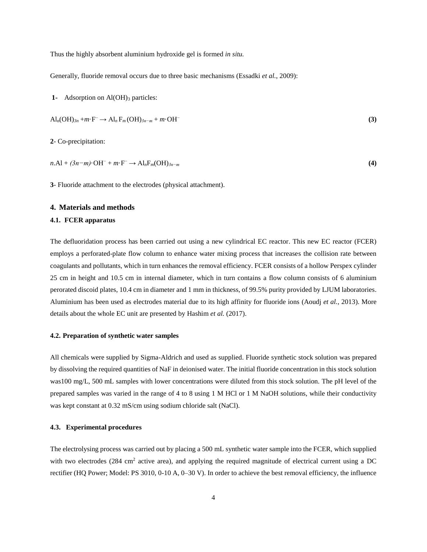Thus the highly absorbent aluminium hydroxide gel is formed *in situ.*

Generally, fluoride removal occurs due to three basic mechanisms (Essadki *et al.*, 2009):

**1-** Adsorption on Al(OH)<sub>3</sub> particles:

$$
Al_n(OH)_{3n} + m \cdot F^- \to Al_nF_m(OH)_{3n-m} + m \cdot OH^-
$$
\n(3)

**2**- Co-precipitation:

$$
n.A1 + (3n-m)\cdot OH^- + m\cdot F^- \rightarrow Al_nF_m(OH)_{3n-m}
$$
\n
$$
(4)
$$

**3**- Fluoride attachment to the electrodes (physical attachment).

## **4. Materials and methods**

#### **4.1. FCER apparatus**

The defluoridation process has been carried out using a new cylindrical EC reactor. This new EC reactor (FCER) employs a perforated-plate flow column to enhance water mixing process that increases the collision rate between coagulants and pollutants, which in turn enhances the removal efficiency. FCER consists of a hollow Perspex cylinder 25 cm in height and 10.5 cm in internal diameter, which in turn contains a flow column consists of 6 aluminium perorated discoid plates, 10.4 cm in diameter and 1 mm in thickness, of 99.5% purity provided by LJUM laboratories. Aluminium has been used as electrodes material due to its high affinity for fluoride ions (Aoudj *et al.*, 2013). More details about the whole EC unit are presented by Hashim *et al.* (2017).

#### **4.2. Preparation of synthetic water samples**

All chemicals were supplied by Sigma-Aldrich and used as supplied. Fluoride synthetic stock solution was prepared by dissolving the required quantities of NaF in deionised water. The initial fluoride concentration in this stock solution was100 mg/L, 500 mL samples with lower concentrations were diluted from this stock solution. The pH level of the prepared samples was varied in the range of 4 to 8 using 1 M HCl or 1 M NaOH solutions, while their conductivity was kept constant at 0.32 mS/cm using sodium chloride salt (NaCl).

#### **4.3. Experimental procedures**

The electrolysing process was carried out by placing a 500 mL synthetic water sample into the FCER, which supplied with two electrodes (284 cm<sup>2</sup> active area), and applying the required magnitude of electrical current using a DC rectifier (HQ Power; Model: PS 3010, 0-10 A, 0–30 V). In order to achieve the best removal efficiency, the influence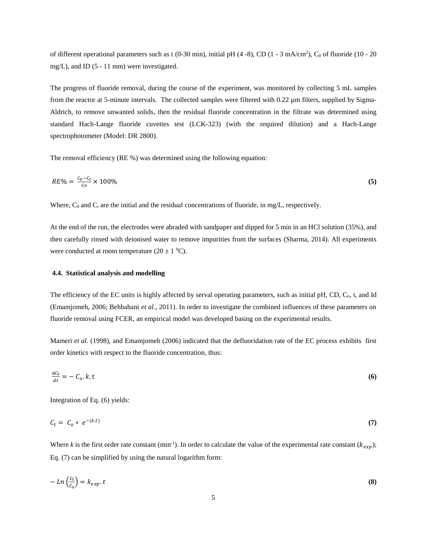of different operational parameters such as t (0-30 min), initial pH  $(4-8)$ , CD  $(1 - 3$  mA/cm<sup>2</sup>), C<sub>0</sub> of fluoride (10 - 20 mg/L), and ID (5 - 11 mm) were investigated.

The progress of fluoride removal, during the course of the experiment, was monitored by collecting 5 mL samples from the reactor at 5-minute intervals. The collected samples were filtered with  $0.22 \mu$ m filters, supplied by Sigma-Aldrich, to remove unwanted solids, then the residual fluoride concentration in the filtrate was determined using standard Hach-Lange fluoride cuvettes test (LCK-323) (with the required dilution) and a Hach-Lange spectrophotometer (Model: DR 2800).

The removal efficiency (RE %) was determined using the following equation:

$$
RE\% = \frac{c_0 - c_t}{c_0} \times 100\%
$$
\n<sup>(5)</sup>

Where,  $C_0$  and  $C_t$  are the initial and the residual concentrations of fluoride, in mg/L, respectively.

At the end of the run, the electrodes were abraded with sandpaper and dipped for 5 min in an HCl solution (35%), and then carefully rinsed with deionised water to remove impurities from the surfaces (Sharma, 2014). All experiments were conducted at room temperature  $(20 \pm 1 \degree C)$ .

#### **4.4. Statistical analysis and modelling**

The efficiency of the EC units is highly affected by serval operating parameters, such as initial pH, CD, C<sub>o</sub>, t, and Id (Emamjomeh, 2006; Behbahani *et al.*, 2011). In order to investigate the combined influences of these parameters on fluoride removal using FCER, an empirical model was developed basing on the experimental results.

Mameri *et al.* (1998), and Emamjomeh (2006) indicated that the defluoridation rate of the EC process exhibits first order kinetics with respect to the fluoride concentration, thus:

$$
\frac{dc_t}{dt} = -C_o \cdot k \cdot t \tag{6}
$$

Integration of Eq. (6) yields:

$$
C_t = C_0 * e^{-(k.t)} \tag{7}
$$

Where *k* is the first order rate constant (min<sup>-1</sup>). In order to calculate the value of the experimental rate constant ( $k_{exp}$ ); Eq. (7) can be simplified by using the natural logarithm form:

$$
-Ln\left(\frac{c_t}{c_o}\right) = k_{exp} \t{.}
$$
\n(8)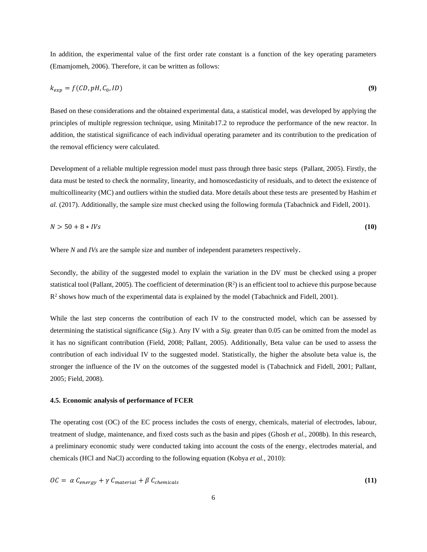In addition, the experimental value of the first order rate constant is a function of the key operating parameters (Emamjomeh, 2006). Therefore, it can be written as follows:

$$
k_{exp} = f(CD, pH, C_0, ID) \tag{9}
$$

Based on these considerations and the obtained experimental data, a statistical model, was developed by applying the principles of multiple regression technique, using Minitab17.2 to reproduce the performance of the new reactor. In addition, the statistical significance of each individual operating parameter and its contribution to the predication of the removal efficiency were calculated.

Development of a reliable multiple regression model must pass through three basic steps (Pallant, 2005). Firstly, the data must be tested to check the normality, linearity, and homoscedasticity of residuals, and to detect the existence of multicollinearity (MC) and outliers within the studied data. More details about these tests are presented by Hashim *et al.* (2017). Additionally, the sample size must checked using the following formula (Tabachnick and Fidell, 2001).

$$
N > 50 + 8 * IVs \tag{10}
$$

Where *N* and *IVs* are the sample size and number of independent parameters respectively.

Secondly, the ability of the suggested model to explain the variation in the DV must be checked using a proper statistical tool (Pallant, 2005). The coefficient of determination  $(R^2)$  is an efficient tool to achieve this purpose because  $R<sup>2</sup>$  shows how much of the experimental data is explained by the model (Tabachnick and Fidell, 2001).

While the last step concerns the contribution of each IV to the constructed model, which can be assessed by determining the statistical significance (*Sig.*). Any IV with a *Sig.* greater than 0.05 can be omitted from the model as it has no significant contribution (Field, 2008; Pallant, 2005). Additionally, Beta value can be used to assess the contribution of each individual IV to the suggested model. Statistically, the higher the absolute beta value is, the stronger the influence of the IV on the outcomes of the suggested model is (Tabachnick and Fidell, 2001; Pallant, 2005; Field, 2008).

#### **4.5. Economic analysis of performance of FCER**

The operating cost (OC) of the EC process includes the costs of energy, chemicals, material of electrodes, labour, treatment of sludge, maintenance, and fixed costs such as the basin and pipes (Ghosh *et al.*, 2008b). In this research, a preliminary economic study were conducted taking into account the costs of the energy, electrodes material, and chemicals (HCl and NaCl) according to the following equation (Kobya *et al.*, 2010):

$$
OC = \alpha C_{energy} + \gamma C_{material} + \beta C_{chemicals}
$$
 (11)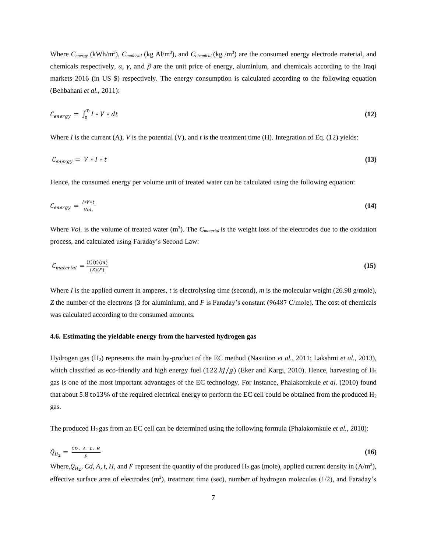Where  $C_{energy}$  (kWh/m<sup>3</sup>),  $C_{material}$  (kg Al/m<sup>3</sup>), and  $C_{chemical}$  (kg /m<sup>3</sup>) are the consumed energy electrode material, and chemicals respectively,  $\alpha$ ,  $\gamma$ , and  $\beta$  are the unit price of energy, aluminium, and chemicals according to the Iraqi markets 2016 (in US \$) respectively. The energy consumption is calculated according to the following equation (Behbahani *et al.*, 2011):

$$
C_{energy} = \int_0^T I * V * dt \tag{12}
$$

Where *I* is the current (A), *V* is the potential (V), and *t* is the treatment time (H). Integration of Eq. (12) yields:

$$
C_{energy} = V \cdot I \cdot t \tag{13}
$$

Hence, the consumed energy per volume unit of treated water can be calculated using the following equation:

$$
C_{energy} = \frac{I*V*t}{Vol.} \tag{14}
$$

Where *Vol.* is the volume of treated water  $(m^3)$ . The  $C_{material}$  is the weight loss of the electrodes due to the oxidation process, and calculated using Faraday's Second Law:

$$
C_{material} = \frac{(I)(t)(m)}{(Z)(F)}\tag{15}
$$

Where *I* is the applied current in amperes, *t* is electrolysing time (second), *m* is the molecular weight (26.98 g/mole), *Z* the number of the electrons (3 for aluminium), and *F* is Faraday's constant (96487 C/mole). The cost of chemicals was calculated according to the consumed amounts.

## **4.6. Estimating the yieldable energy from the harvested hydrogen gas**

Hydrogen gas (H2) represents the main by-product of the EC method (Nasution *et al.*, 2011; Lakshmi *et al.*, 2013), which classified as eco-friendly and high energy fuel (122  $kJ/g$ ) (Eker and Kargi, 2010). Hence, harvesting of  $H_2$ gas is one of the most important advantages of the EC technology. For instance, Phalakornkule *et al.* (2010) found that about 5.8 to 13% of the required electrical energy to perform the EC cell could be obtained from the produced  $H_2$ gas.

The produced H<sub>2</sub> gas from an EC cell can be determined using the following formula (Phalakornkule *et al.*, 2010):

$$
Q_{H_2} = \frac{CD \cdot A \cdot t \cdot H}{F} \tag{16}
$$

Where,  $Q_{H_2}$ , *Cd*, *A*, *t*, *H*, and *F* represent the quantity of the produced H<sub>2</sub> gas (mole), applied current density in (A/m<sup>2</sup>), effective surface area of electrodes  $(m^2)$ , treatment time (sec), number of hydrogen molecules (1/2), and Faraday's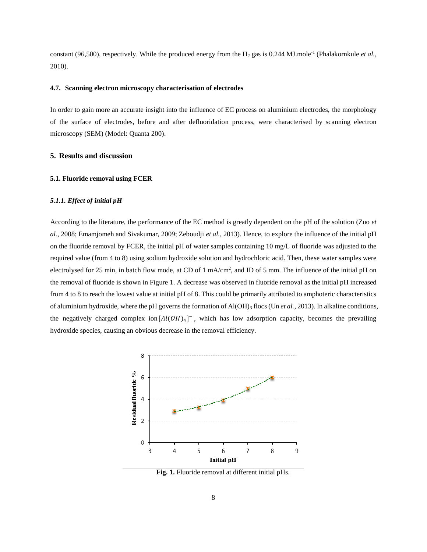constant (96,500), respectively. While the produced energy from the  $H_2$  gas is 0.244 MJ.mole<sup>-1</sup> (Phalakornkule *et al.*, 2010).

#### **4.7. Scanning electron microscopy characterisation of electrodes**

In order to gain more an accurate insight into the influence of EC process on aluminium electrodes, the morphology of the surface of electrodes, before and after defluoridation process, were characterised by scanning electron microscopy (SEM) (Model: Quanta 200).

#### **5. Results and discussion**

#### **5.1. Fluoride removal using FCER**

#### *5.1.1. Effect of initial pH*

According to the literature, the performance of the EC method is greatly dependent on the pH of the solution (Zuo *et al.*, 2008; Emamjomeh and Sivakumar, 2009; Zeboudji *et al.*, 2013). Hence, to explore the influence of the initial pH on the fluoride removal by FCER, the initial pH of water samples containing 10 mg/L of fluoride was adjusted to the required value (from 4 to 8) using sodium hydroxide solution and hydrochloric acid. Then, these water samples were electrolysed for 25 min, in batch flow mode, at CD of 1 mA/cm<sup>2</sup>, and ID of 5 mm. The influence of the initial pH on the removal of fluoride is shown in Figure 1. A decrease was observed in fluoride removal as the initial pH increased from 4 to 8 to reach the lowest value at initial pH of 8. This could be primarily attributed to amphoteric characteristics of aluminium hydroxide, where the pH governs the formation of Al(OH)<sup>3</sup> flocs (Un *et al.*, 2013). In alkaline conditions, the negatively charged complex ion  $[A(OH)_4]^-$ , which has low adsorption capacity, becomes the prevailing hydroxide species, causing an obvious decrease in the removal efficiency.



**Fig. 1.** Fluoride removal at different initial pHs.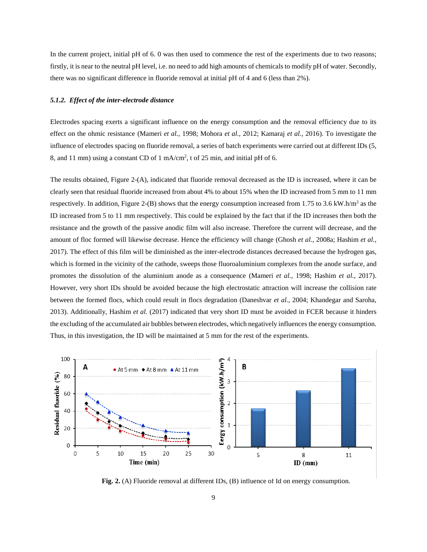In the current project, initial pH of 6. 0 was then used to commence the rest of the experiments due to two reasons; firstly, it is near to the neutral pH level, i.e. no need to add high amounts of chemicals to modify pH of water. Secondly, there was no significant difference in fluoride removal at initial pH of 4 and 6 (less than 2%).

#### *5.1.2. Effect of the inter-electrode distance*

Electrodes spacing exerts a significant influence on the energy consumption and the removal efficiency due to its effect on the ohmic resistance (Mameri *et al.*, 1998; Mohora *et al.*, 2012; Kamaraj *et al.*, 2016). To investigate the influence of electrodes spacing on fluoride removal, a series of batch experiments were carried out at different IDs (5, 8, and 11 mm) using a constant CD of 1 mA/cm<sup>2</sup>, t of 25 min, and initial pH of 6.

The results obtained, Figure 2-(A), indicated that fluoride removal decreased as the ID is increased, where it can be clearly seen that residual fluoride increased from about 4% to about 15% when the ID increased from 5 mm to 11 mm respectively. In addition, Figure 2-(B) shows that the energy consumption increased from 1.75 to 3.6 kW.h/m<sup>3</sup> as the ID increased from 5 to 11 mm respectively. This could be explained by the fact that if the ID increases then both the resistance and the growth of the passive anodic film will also increase. Therefore the current will decrease, and the amount of floc formed will likewise decrease. Hence the efficiency will change (Ghosh *et al.*, 2008a; Hashim *et al.*, 2017). The effect of this film will be diminished as the inter-electrode distances decreased because the hydrogen gas, which is formed in the vicinity of the cathode, sweeps those fluoroaluminium complexes from the anode surface, and promotes the dissolution of the aluminium anode as a consequence (Mameri *et al.*, 1998; Hashim *et al.*, 2017). However, very short IDs should be avoided because the high electrostatic attraction will increase the collision rate between the formed flocs, which could result in flocs degradation (Daneshvar *et al.*, 2004; Khandegar and Saroha, 2013). Additionally, Hashim *et al.* (2017) indicated that very short ID must be avoided in FCER because it hinders the excluding of the accumulated air bubbles between electrodes, which negatively influences the energy consumption. Thus, in this investigation, the ID will be maintained at 5 mm for the rest of the experiments.



**Fig. 2.** (A) Fluoride removal at different IDs, (B) influence of Id on energy consumption.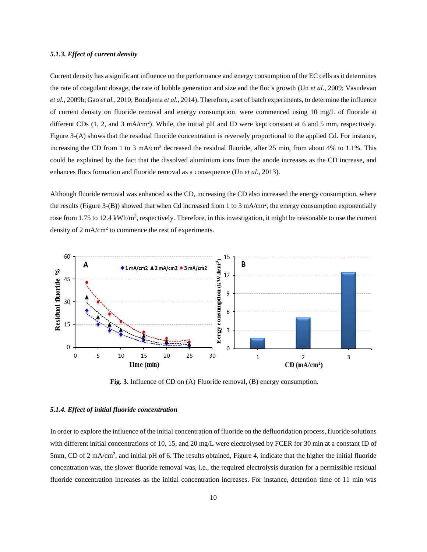## *5.1.3. Effect of current density*

Current density has a significant influence on the performance and energy consumption of the EC cells as it determines the rate of coagulant dosage, the rate of bubble generation and size and the floc's growth (Un *et al.*, 2009; Vasudevan *et al.*, 2009b; Gao *et al.*, 2010; Boudjema *et al.*, 2014). Therefore, a set of batch experiments, to determine the influence of current density on fluoride removal and energy consumption, were commenced using 10 mg/L of fluoride at different CDs  $(1, 2, \text{ and } 3 \text{ mA/cm}^2)$ . While, the initial pH and ID were kept constant at 6 and 5 mm, respectively. Figure 3-(A) shows that the residual fluoride concentration is reversely proportional to the applied Cd. For instance, increasing the CD from 1 to 3 mA/cm<sup>2</sup> decreased the residual fluoride, after 25 min, from about 4% to 1.1%. This could be explained by the fact that the dissolved aluminium ions from the anode increases as the CD increase, and enhances flocs formation and fluoride removal as a consequence (Un *et al.*, 2013).

Although fluoride removal was enhanced as the CD, increasing the CD also increased the energy consumption, where the results (Figure 3-(B)) showed that when Cd increased from 1 to 3 mA/cm<sup>2</sup>, the energy consumption exponentially rose from 1.75 to 12.4 kWh/m<sup>3</sup>, respectively. Therefore, in this investigation, it might be reasonable to use the current density of 2 mA/cm<sup>2</sup> to commence the rest of experiments.



**Fig. 3.** Influence of CD on (A) Fluoride removal, (B) energy consumption.

## *5.1.4. Effect of initial fluoride concentration*

In order to explore the influence of the initial concentration of fluoride on the defluoridation process, fluoride solutions with different initial concentrations of 10, 15, and 20 mg/L were electrolysed by FCER for 30 min at a constant ID of 5mm, CD of 2 mA/cm<sup>2</sup>, and initial pH of 6. The results obtained, Figure 4, indicate that the higher the initial fluoride concentration was, the slower fluoride removal was, i.e., the required electrolysis duration for a permissible residual fluoride concentration increases as the initial concentration increases. For instance, detention time of 11 min was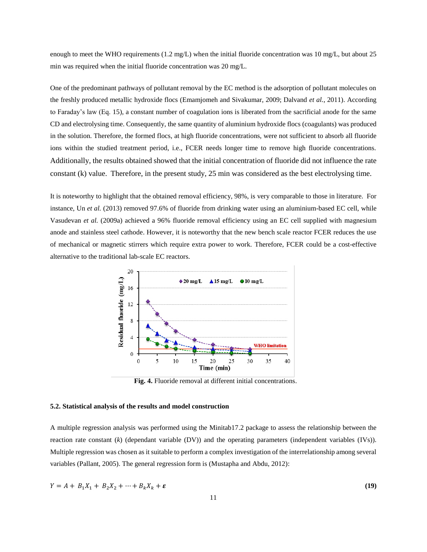enough to meet the WHO requirements (1.2 mg/L) when the initial fluoride concentration was 10 mg/L, but about 25 min was required when the initial fluoride concentration was 20 mg/L.

One of the predominant pathways of pollutant removal by the EC method is the adsorption of pollutant molecules on the freshly produced metallic hydroxide flocs (Emamjomeh and Sivakumar, 2009; Dalvand *et al.*, 2011). According to Faraday's law (Eq. 15), a constant number of coagulation ions is liberated from the sacrificial anode for the same CD and electrolysing time. Consequently, the same quantity of aluminium hydroxide flocs (coagulants) was produced in the solution. Therefore, the formed flocs, at high fluoride concentrations, were not sufficient to absorb all fluoride ions within the studied treatment period, i.e., FCER needs longer time to remove high fluoride concentrations. Additionally, the results obtained showed that the initial concentration of fluoride did not influence the rate constant (k) value. Therefore, in the present study, 25 min was considered as the best electrolysing time.

It is noteworthy to highlight that the obtained removal efficiency, 98%, is very comparable to those in literature. For instance, Un *et al.* (2013) removed 97.6% of fluoride from drinking water using an aluminium-based EC cell, while Vasudevan *et al.* (2009a) achieved a 96% fluoride removal efficiency using an EC cell supplied with magnesium anode and stainless steel cathode. However, it is noteworthy that the new bench scale reactor FCER reduces the use of mechanical or magnetic stirrers which require extra power to work. Therefore, FCER could be a cost-effective alternative to the traditional lab-scale EC reactors.



**Fig. 4.** Fluoride removal at different initial concentrations.

#### **5.2. Statistical analysis of the results and model construction**

A multiple regression analysis was performed using the Minitab17.2 package to assess the relationship between the reaction rate constant (*k*) (dependant variable (DV)) and the operating parameters (independent variables (IVs)). Multiple regression was chosen as it suitable to perform a complex investigation of the interrelationship among several variables (Pallant, 2005). The general regression form is (Mustapha and Abdu, 2012):

$$
Y = A + B_1 X_1 + B_2 X_2 + \dots + B_k X_k + \varepsilon
$$
\n(19)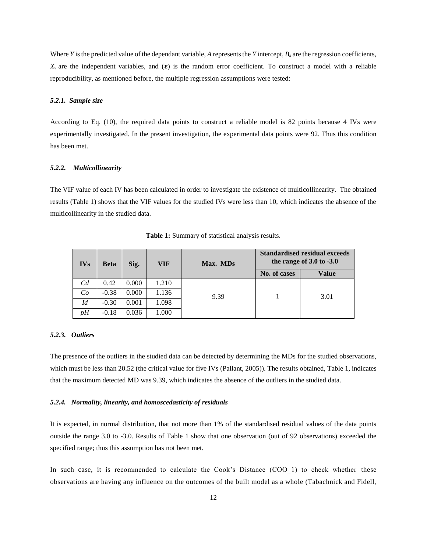Where *Y* is the predicted value of the dependant variable, *A* represents the *Y* intercept,  $B_k$  are the regression coefficients,  $X_s$  are the independent variables, and  $(\epsilon)$  is the random error coefficient. To construct a model with a reliable reproducibility, as mentioned before, the multiple regression assumptions were tested:

#### *5.2.1. Sample size*

According to Eq. (10), the required data points to construct a reliable model is 82 points because 4 IVs were experimentally investigated. In the present investigation, the experimental data points were 92. Thus this condition has been met.

#### *5.2.2. Multicollinearity*

The VIF value of each IV has been calculated in order to investigate the existence of multicollinearity. The obtained results (Table 1) shows that the VIF values for the studied IVs were less than 10, which indicates the absence of the multicollinearity in the studied data.

| <b>IVs</b> | <b>Beta</b> | Sig.  | VIF   | Max. MDs | <b>Standardised residual exceeds</b><br>the range of $3.0$ to $-3.0$ |       |
|------------|-------------|-------|-------|----------|----------------------------------------------------------------------|-------|
|            |             |       |       |          | No. of cases                                                         | Value |
| Cd         | 0.42        | 0.000 | 1.210 | 9.39     |                                                                      | 3.01  |
| Co         | $-0.38$     | 0.000 | 1.136 |          |                                                                      |       |
| Id         | $-0.30$     | 0.001 | 1.098 |          |                                                                      |       |
| vН         | $-0.18$     | 0.036 | 1.000 |          |                                                                      |       |

**Table 1:** Summary of statistical analysis results.

#### *5.2.3. Outliers*

The presence of the outliers in the studied data can be detected by determining the MDs for the studied observations, which must be less than 20.52 (the critical value for five IVs (Pallant, 2005)). The results obtained, Table 1, indicates that the maximum detected MD was 9.39, which indicates the absence of the outliers in the studied data.

#### *5.2.4. Normality, linearity, and homoscedasticity of residuals*

It is expected, in normal distribution, that not more than 1% of the standardised residual values of the data points outside the range 3.0 to -3.0. Results of Table 1 show that one observation (out of 92 observations) exceeded the specified range; thus this assumption has not been met.

In such case, it is recommended to calculate the Cook's Distance (COO 1) to check whether these observations are having any influence on the outcomes of the built model as a whole (Tabachnick and Fidell,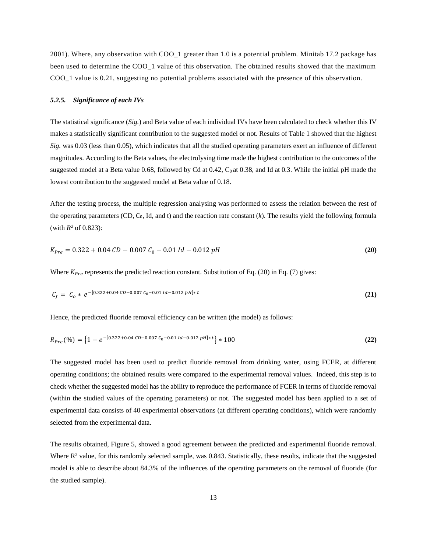2001). Where, any observation with COO\_1 greater than 1.0 is a potential problem. Minitab 17.2 package has been used to determine the COO 1 value of this observation. The obtained results showed that the maximum COO\_1 value is 0.21, suggesting no potential problems associated with the presence of this observation.

#### *5.2.5. Significance of each IVs*

The statistical significance (*Sig.*) and Beta value of each individual IVs have been calculated to check whether this IV makes a statistically significant contribution to the suggested model or not. Results of Table 1 showed that the highest *Sig.* was 0.03 (less than 0.05), which indicates that all the studied operating parameters exert an influence of different magnitudes. According to the Beta values, the electrolysing time made the highest contribution to the outcomes of the suggested model at a Beta value  $0.68$ , followed by Cd at  $0.42$ , C<sub>0</sub> at  $0.38$ , and Id at  $0.3$ . While the initial pH made the lowest contribution to the suggested model at Beta value of 0.18.

After the testing process, the multiple regression analysing was performed to assess the relation between the rest of the operating parameters (CD, C0, Id, and t) and the reaction rate constant (*k*). The results yield the following formula (with  $R^2$  of 0.823):

$$
K_{Pre} = 0.322 + 0.04 \, CD - 0.007 \, C_0 - 0.01 \, Id - 0.012 \, pH \tag{20}
$$

Where  $K_{pre}$  represents the predicted reaction constant. Substitution of Eq. (20) in Eq. (7) gives:

$$
C_f = C_0 * e^{-[0.322 + 0.04 \, CD - 0.007 \, C_0 - 0.01 \, Id - 0.012 \, pH]*t}
$$
\n(21)

Hence, the predicted fluoride removal efficiency can be written (the model) as follows:

$$
R_{Pre}(\%) = \left\{ 1 - e^{-[0.322 + 0.04\;CD - 0.007\;C_0 - 0.01\;Id - 0.012\;pH]*t} \right\} * 100\tag{22}
$$

The suggested model has been used to predict fluoride removal from drinking water, using FCER, at different operating conditions; the obtained results were compared to the experimental removal values. Indeed, this step is to check whether the suggested model has the ability to reproduce the performance of FCER in terms of fluoride removal (within the studied values of the operating parameters) or not. The suggested model has been applied to a set of experimental data consists of 40 experimental observations (at different operating conditions), which were randomly selected from the experimental data.

The results obtained, Figure 5, showed a good agreement between the predicted and experimental fluoride removal. Where  $R^2$  value, for this randomly selected sample, was 0.843. Statistically, these results, indicate that the suggested model is able to describe about 84.3% of the influences of the operating parameters on the removal of fluoride (for the studied sample).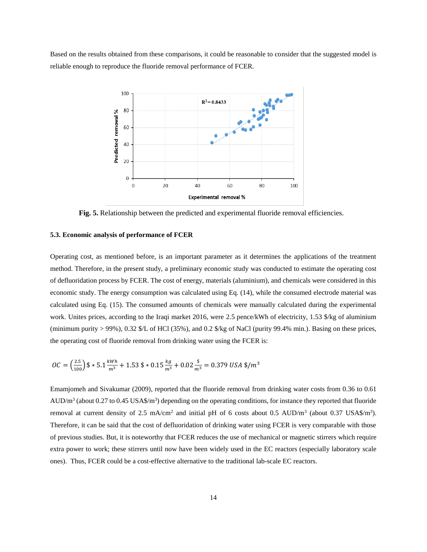Based on the results obtained from these comparisons, it could be reasonable to consider that the suggested model is reliable enough to reproduce the fluoride removal performance of FCER.



**Fig. 5.** Relationship between the predicted and experimental fluoride removal efficiencies.

#### **5.3. Economic analysis of performance of FCER**

Operating cost, as mentioned before, is an important parameter as it determines the applications of the treatment method. Therefore, in the present study, a preliminary economic study was conducted to estimate the operating cost of defluoridation process by FCER. The cost of energy, materials (aluminium), and chemicals were considered in this economic study. The energy consumption was calculated using Eq. (14), while the consumed electrode material was calculated using Eq. (15). The consumed amounts of chemicals were manually calculated during the experimental work. Unites prices, according to the Iraqi market 2016, were 2.5 pence/kWh of electricity, 1.53 \$/kg of aluminium (minimum purity  $> 99\%$ ), 0.32 \$/L of HCl (35%), and 0.2 \$/kg of NaCl (purity 99.4% min.). Basing on these prices, the operating cost of fluoride removal from drinking water using the FCER is:

$$
OC = \left(\frac{2.5}{100}\right) \$ * 5.1 \frac{kWh}{m^3} + 1.53 \$ * 0.15 \frac{kg}{m^3} + 0.02 \frac{\$}{m^3} = 0.379 \text{ USA } \$/m^3
$$

Emamjomeh and Sivakumar (2009), reported that the fluoride removal from drinking water costs from 0.36 to 0.61  $AUD/m<sup>3</sup>$  (about 0.27 to 0.45 USA\$/m<sup>3</sup>) depending on the operating conditions, for instance they reported that fluoride removal at current density of 2.5 mA/cm<sup>2</sup> and initial pH of 6 costs about 0.5 AUD/m<sup>3</sup> (about 0.37 USA\$/m<sup>3</sup>). Therefore, it can be said that the cost of defluoridation of drinking water using FCER is very comparable with those of previous studies. But, it is noteworthy that FCER reduces the use of mechanical or magnetic stirrers which require extra power to work; these stirrers until now have been widely used in the EC reactors (especially laboratory scale ones). Thus, FCER could be a cost-effective alternative to the traditional lab-scale EC reactors.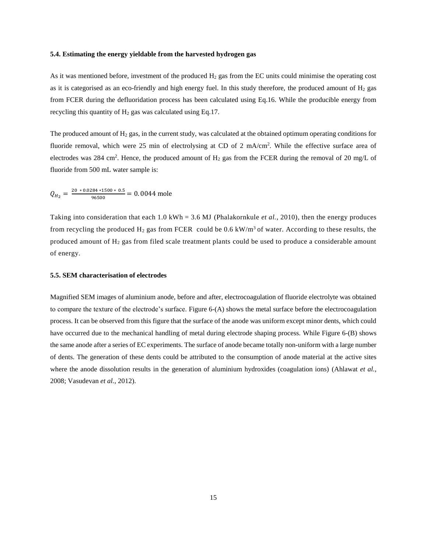#### **5.4. Estimating the energy yieldable from the harvested hydrogen gas**

As it was mentioned before, investment of the produced  $H_2$  gas from the EC units could minimise the operating cost as it is categorised as an eco-friendly and high energy fuel. In this study therefore, the produced amount of  $H_2$  gas from FCER during the defluoridation process has been calculated using Eq.16. While the producible energy from recycling this quantity of  $H_2$  gas was calculated using Eq.17.

The produced amount of  $H_2$  gas, in the current study, was calculated at the obtained optimum operating conditions for fluoride removal, which were 25 min of electrolysing at CD of 2 mA/cm<sup>2</sup>. While the effective surface area of electrodes was 284 cm<sup>2</sup>. Hence, the produced amount of  $H_2$  gas from the FCER during the removal of 20 mg/L of fluoride from 500 mL water sample is:

$$
Q_{H_2} = \frac{20 * 0.0284 * 1500 * 0.5}{96500} = 0.0044 \text{ mole}
$$

Taking into consideration that each 1.0 kWh = 3.6 MJ (Phalakornkule *et al.*, 2010), then the energy produces from recycling the produced  $H_2$  gas from FCER could be 0.6 kW/m<sup>3</sup> of water. According to these results, the produced amount of  $H_2$  gas from filed scale treatment plants could be used to produce a considerable amount of energy.

#### **5.5. SEM characterisation of electrodes**

Magnified SEM images of aluminium anode, before and after, electrocoagulation of fluoride electrolyte was obtained to compare the texture of the electrode's surface. Figure 6-(A) shows the metal surface before the electrocoagulation process. It can be observed from this figure that the surface of the anode was uniform except minor dents, which could have occurred due to the mechanical handling of metal during electrode shaping process. While Figure 6-(B) shows the same anode after a series of EC experiments. The surface of anode became totally non-uniform with a large number of dents. The generation of these dents could be attributed to the consumption of anode material at the active sites where the anode dissolution results in the generation of aluminium hydroxides (coagulation ions) (Ahlawat *et al.*, 2008; Vasudevan *et al.*, 2012).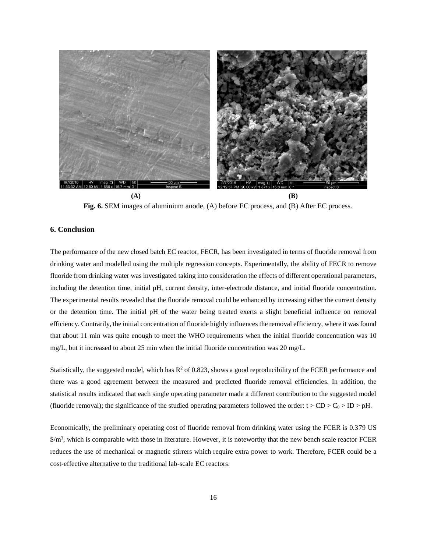

**Fig. 6.** SEM images of aluminium anode, (A) before EC process, and (B) After EC process.

## **6. Conclusion**

The performance of the new closed batch EC reactor, FECR, has been investigated in terms of fluoride removal from drinking water and modelled using the multiple regression concepts. Experimentally, the ability of FECR to remove fluoride from drinking water was investigated taking into consideration the effects of different operational parameters, including the detention time, initial pH, current density, inter-electrode distance, and initial fluoride concentration. The experimental results revealed that the fluoride removal could be enhanced by increasing either the current density or the detention time. The initial pH of the water being treated exerts a slight beneficial influence on removal efficiency. Contrarily, the initial concentration of fluoride highly influences the removal efficiency, where it was found that about 11 min was quite enough to meet the WHO requirements when the initial fluoride concentration was 10 mg/L, but it increased to about 25 min when the initial fluoride concentration was 20 mg/L.

Statistically, the suggested model, which has  $R^2$  of 0.823, shows a good reproducibility of the FCER performance and there was a good agreement between the measured and predicted fluoride removal efficiencies. In addition, the statistical results indicated that each single operating parameter made a different contribution to the suggested model (fluoride removal); the significance of the studied operating parameters followed the order:  $t > CD > C_0 > ID > pH$ .

Economically, the preliminary operating cost of fluoride removal from drinking water using the FCER is 0.379 US \$/m<sup>3</sup>, which is comparable with those in literature. However, it is noteworthy that the new bench scale reactor FCER reduces the use of mechanical or magnetic stirrers which require extra power to work. Therefore, FCER could be a cost-effective alternative to the traditional lab-scale EC reactors.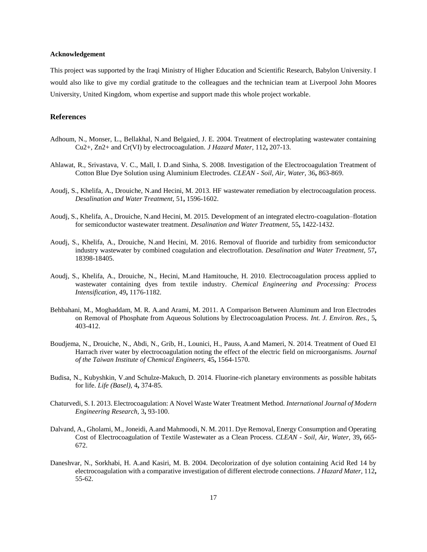#### **Acknowledgement**

This project was supported by the Iraqi Ministry of Higher Education and Scientific Research, Babylon University. I would also like to give my cordial gratitude to the colleagues and the technician team at Liverpool John Moores University, United Kingdom, whom expertise and support made this whole project workable.

## **References**

- Adhoum, N., Monser, L., Bellakhal, N.and Belgaied, J. E. 2004. Treatment of electroplating wastewater containing Cu2+, Zn2+ and Cr(VI) by electrocoagulation. *J Hazard Mater,* 112**,** 207-13.
- Ahlawat, R., Srivastava, V. C., Mall, I. D.and Sinha, S. 2008. Investigation of the Electrocoagulation Treatment of Cotton Blue Dye Solution using Aluminium Electrodes. *CLEAN - Soil, Air, Water,* 36**,** 863-869.
- Aoudj, S., Khelifa, A., Drouiche, N.and Hecini, M. 2013. HF wastewater remediation by electrocoagulation process. *Desalination and Water Treatment,* 51**,** 1596-1602.
- Aoudj, S., Khelifa, A., Drouiche, N.and Hecini, M. 2015. Development of an integrated electro-coagulation–flotation for semiconductor wastewater treatment. *Desalination and Water Treatment,* 55**,** 1422-1432.
- Aoudj, S., Khelifa, A., Drouiche, N.and Hecini, M. 2016. Removal of fluoride and turbidity from semiconductor industry wastewater by combined coagulation and electroflotation. *Desalination and Water Treatment,* 57**,** 18398-18405.
- Aoudj, S., Khelifa, A., Drouiche, N., Hecini, M.and Hamitouche, H. 2010. Electrocoagulation process applied to wastewater containing dyes from textile industry. *Chemical Engineering and Processing: Process Intensification,* 49**,** 1176-1182.
- Behbahani, M., Moghaddam, M. R. A.and Arami, M. 2011. A Comparison Between Aluminum and Iron Electrodes on Removal of Phosphate from Aqueous Solutions by Electrocoagulation Process. *Int. J. Environ. Res.,* 5**,** 403-412.
- Boudjema, N., Drouiche, N., Abdi, N., Grib, H., Lounici, H., Pauss, A.and Mameri, N. 2014. Treatment of Oued El Harrach river water by electrocoagulation noting the effect of the electric field on microorganisms. *Journal of the Taiwan Institute of Chemical Engineers,* 45**,** 1564-1570.
- Budisa, N., Kubyshkin, V.and Schulze-Makuch, D. 2014. Fluorine-rich planetary environments as possible habitats for life. *Life (Basel),* 4**,** 374-85.
- Chaturvedi, S. I. 2013. Electrocoagulation: A Novel Waste Water Treatment Method. *International Journal of Modern Engineering Research,* 3**,** 93-100.
- Dalvand, A., Gholami, M., Joneidi, A.and Mahmoodi, N. M. 2011. Dye Removal, Energy Consumption and Operating Cost of Electrocoagulation of Textile Wastewater as a Clean Process. *CLEAN - Soil, Air, Water,* 39**,** 665- 672.
- Daneshvar, N., Sorkhabi, H. A.and Kasiri, M. B. 2004. Decolorization of dye solution containing Acid Red 14 by electrocoagulation with a comparative investigation of different electrode connections. *J Hazard Mater,* 112**,** 55-62.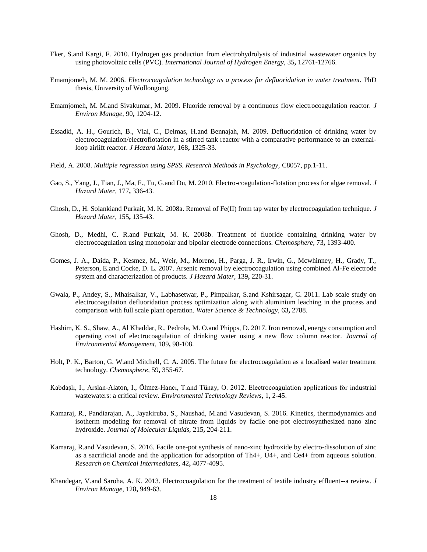- Eker, S.and Kargi, F. 2010. Hydrogen gas production from electrohydrolysis of industrial wastewater organics by using photovoltaic cells (PVC). *International Journal of Hydrogen Energy,* 35**,** 12761-12766.
- Emamjomeh, M. M. 2006. *Electrocoagulation technology as a process for defluoridation in water treatment.* PhD thesis, University of Wollongong.
- Emamjomeh, M. M.and Sivakumar, M. 2009. Fluoride removal by a continuous flow electrocoagulation reactor. *J Environ Manage,* 90**,** 1204-12.
- Essadki, A. H., Gourich, B., Vial, C., Delmas, H.and Bennajah, M. 2009. Defluoridation of drinking water by electrocoagulation/electroflotation in a stirred tank reactor with a comparative performance to an externalloop airlift reactor. *J Hazard Mater,* 168**,** 1325-33.
- Field, A. 2008. *Multiple regression using SPSS. Research Methods in Psychology,* C8057, pp.1-11.
- Gao, S., Yang, J., Tian, J., Ma, F., Tu, G.and Du, M. 2010. Electro-coagulation-flotation process for algae removal. *J Hazard Mater,* 177**,** 336-43.
- Ghosh, D., H. Solankiand Purkait, M. K. 2008a. Removal of Fe(II) from tap water by electrocoagulation technique. *J Hazard Mater,* 155**,** 135-43.
- Ghosh, D., Medhi, C. R.and Purkait, M. K. 2008b. Treatment of fluoride containing drinking water by electrocoagulation using monopolar and bipolar electrode connections. *Chemosphere,* 73**,** 1393-400.
- Gomes, J. A., Daida, P., Kesmez, M., Weir, M., Moreno, H., Parga, J. R., Irwin, G., Mcwhinney, H., Grady, T., Peterson, E.and Cocke, D. L. 2007. Arsenic removal by electrocoagulation using combined Al-Fe electrode system and characterization of products. *J Hazard Mater,* 139**,** 220-31.
- Gwala, P., Andey, S., Mhaisalkar, V., Labhasetwar, P., Pimpalkar, S.and Kshirsagar, C. 2011. Lab scale study on electrocoagulation defluoridation process optimization along with aluminium leaching in the process and comparison with full scale plant operation. *Water Science & Technology,* 63**,** 2788.
- Hashim, K. S., Shaw, A., Al Khaddar, R., Pedrola, M. O.and Phipps, D. 2017. Iron removal, energy consumption and operating cost of electrocoagulation of drinking water using a new flow column reactor. *Journal of Environmental Management,* 189**,** 98-108.
- Holt, P. K., Barton, G. W.and Mitchell, C. A. 2005. The future for electrocoagulation as a localised water treatment technology. *Chemosphere,* 59**,** 355-67.
- Kabdaşlı, I., Arslan-Alaton, I., Ölmez-Hancı, T.and Tünay, O. 2012. Electrocoagulation applications for industrial wastewaters: a critical review. *Environmental Technology Reviews,* 1**,** 2-45.
- Kamaraj, R., Pandiarajan, A., Jayakiruba, S., Naushad, M.and Vasudevan, S. 2016. Kinetics, thermodynamics and isotherm modeling for removal of nitrate from liquids by facile one-pot electrosynthesized nano zinc hydroxide. *Journal of Molecular Liquids,* 215**,** 204-211.
- Kamaraj, R.and Vasudevan, S. 2016. Facile one-pot synthesis of nano-zinc hydroxide by electro-dissolution of zinc as a sacrificial anode and the application for adsorption of Th4+, U4+, and Ce4+ from aqueous solution. *Research on Chemical Intermediates,* 42**,** 4077-4095.
- Khandegar, V.and Saroha, A. K. 2013. Electrocoagulation for the treatment of textile industry effluent--a review. *J Environ Manage,* 128**,** 949-63.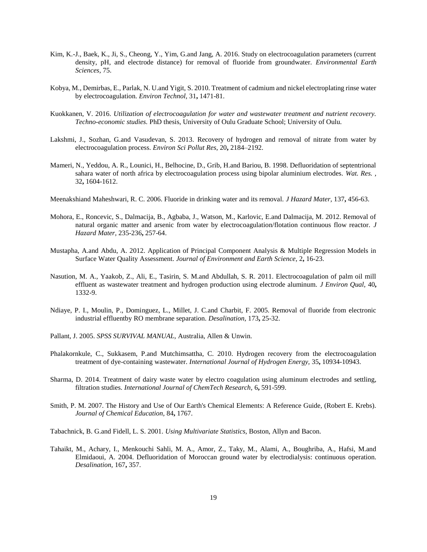- Kim, K.-J., Baek, K., Ji, S., Cheong, Y., Yim, G.and Jang, A. 2016. Study on electrocoagulation parameters (current density, pH, and electrode distance) for removal of fluoride from groundwater. *Environmental Earth Sciences,* 75.
- Kobya, M., Demirbas, E., Parlak, N. U.and Yigit, S. 2010. Treatment of cadmium and nickel electroplating rinse water by electrocoagulation. *Environ Technol,* 31**,** 1471-81.
- Kuokkanen, V. 2016. *Utilization of electrocoagulation for water and wastewater treatment and nutrient recovery. Techno-economic studies.* PhD thesis, University of Oulu Graduate School; University of Oulu.
- Lakshmi, J., Sozhan, G.and Vasudevan, S. 2013. Recovery of hydrogen and removal of nitrate from water by electrocoagulation process. *Environ Sci Pollut Res,* 20**,** 2184–2192.
- Mameri, N., Yeddou, A. R., Lounici, H., Belhocine, D., Grib, H.and Bariou, B. 1998. Defluoridation of septentrional sahara water of north africa by electrocoagulation process using bipolar aluminium electrodes. *Wat. Res. ,* 32**,** 1604-1612.
- Meenakshiand Maheshwari, R. C. 2006. Fluoride in drinking water and its removal. *J Hazard Mater,* 137**,** 456-63.
- Mohora, E., Roncevic, S., Dalmacija, B., Agbaba, J., Watson, M., Karlovic, E.and Dalmacija, M. 2012. Removal of natural organic matter and arsenic from water by electrocoagulation/flotation continuous flow reactor. *J Hazard Mater,* 235-236**,** 257-64.
- Mustapha, A.and Abdu, A. 2012. Application of Principal Component Analysis & Multiple Regression Models in Surface Water Quality Assessment. *Journal of Environment and Earth Science,* 2**,** 16-23.
- Nasution, M. A., Yaakob, Z., Ali, E., Tasirin, S. M.and Abdullah, S. R. 2011. Electrocoagulation of palm oil mill effluent as wastewater treatment and hydrogen production using electrode aluminum. *J Environ Qual,* 40**,** 1332-9.
- Ndiaye, P. I., Moulin, P., Dominguez, L., Millet, J. C.and Charbit, F. 2005. Removal of fluoride from electronic industrial effluentby RO membrane separation. *Desalination,* 173**,** 25-32.
- Pallant, J. 2005. *SPSS SURVIVAL MANUAL,* Australia, Allen & Unwin.
- Phalakornkule, C., Sukkasem, P.and Mutchimsattha, C. 2010. Hydrogen recovery from the electrocoagulation treatment of dye-containing wastewater. *International Journal of Hydrogen Energy,* 35**,** 10934-10943.
- Sharma, D. 2014. Treatment of dairy waste water by electro coagulation using aluminum electrodes and settling, filtration studies. *International Journal of ChemTech Research,* 6**,** 591-599.
- Smith, P. M. 2007. The History and Use of Our Earth's Chemical Elements: A Reference Guide, (Robert E. Krebs). *Journal of Chemical Education,* 84**,** 1767.

Tabachnick, B. G.and Fidell, L. S. 2001. *Using Multivariate Statistics,* Boston, Allyn and Bacon.

Tahaikt, M., Achary, I., Menkouchi Sahli, M. A., Amor, Z., Taky, M., Alami, A., Boughriba, A., Hafsi, M.and Elmidaoui, A. 2004. Defluoridation of Moroccan ground water by electrodialysis: continuous operation. *Desalination,* 167**,** 357.